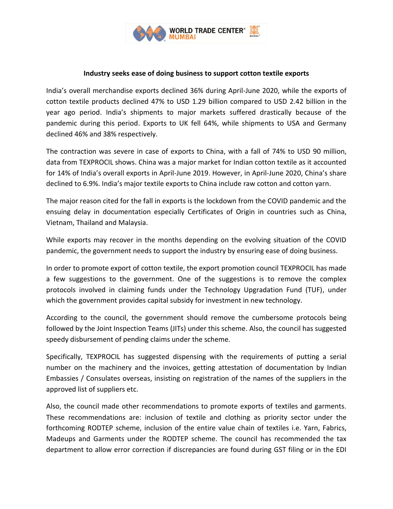

## **Industry seeks ease of doing business to support cotton textile exports**

India's overall merchandise exports declined 36% during April-June 2020, while the exports of cotton textile products declined 47% to USD 1.29 billion compared to USD 2.42 billion in the year ago period. India's shipments to major markets suffered drastically because of the pandemic during this period. Exports to UK fell 64%, while shipments to USA and Germany declined 46% and 38% respectively.

The contraction was severe in case of exports to China, with a fall of 74% to USD 90 million, data from TEXPROCIL shows. China was a major market for Indian cotton textile as it accounted for 14% of India's overall exports in April-June 2019. However, in April-June 2020, China's share declined to 6.9%. India's major textile exports to China include raw cotton and cotton yarn.

The major reason cited for the fall in exports is the lockdown from the COVID pandemic and the ensuing delay in documentation especially Certificates of Origin in countries such as China, Vietnam, Thailand and Malaysia.

While exports may recover in the months depending on the evolving situation of the COVID pandemic, the government needs to support the industry by ensuring ease of doing business.

In order to promote export of cotton textile, the export promotion council TEXPROCIL has made a few suggestions to the government. One of the suggestions is to remove the complex protocols involved in claiming funds under the Technology Upgradation Fund (TUF), under which the government provides capital subsidy for investment in new technology.

According to the council, the government should remove the cumbersome protocols being followed by the Joint Inspection Teams (JITs) under this scheme. Also, the council has suggested speedy disbursement of pending claims under the scheme.

Specifically, TEXPROCIL has suggested dispensing with the requirements of putting a serial number on the machinery and the invoices, getting attestation of documentation by Indian Embassies / Consulates overseas, insisting on registration of the names of the suppliers in the approved list of suppliers etc.

Also, the council made other recommendations to promote exports of textiles and garments. These recommendations are: inclusion of textile and clothing as priority sector under the forthcoming RODTEP scheme, inclusion of the entire value chain of textiles i.e. Yarn, Fabrics, Madeups and Garments under the RODTEP scheme. The council has recommended the tax department to allow error correction if discrepancies are found during GST filing or in the EDI